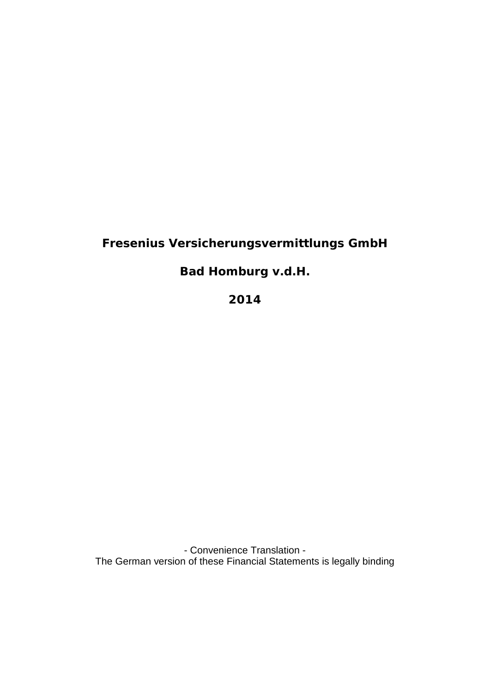# **Fresenius Versicherungsvermittlungs GmbH**

**Bad Homburg v.d.H.**

**2014** 

- Convenience Translation - The German version of these Financial Statements is legally binding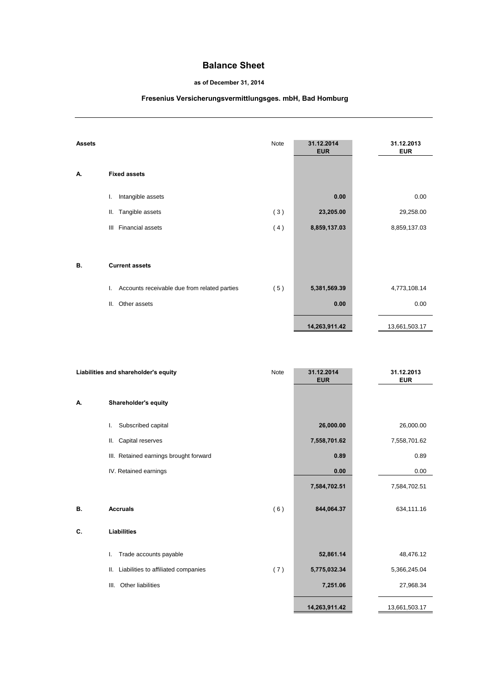## **Balance Sheet**

### **as of December 31, 2014**

# **Fresenius Versicherungsvermittlungsges. mbH, Bad Homburg**

| <b>Assets</b> |                                                    | Note | 31.12.2014<br><b>EUR</b> | 31.12.2013<br><b>EUR</b> |
|---------------|----------------------------------------------------|------|--------------------------|--------------------------|
| А.            | <b>Fixed assets</b>                                |      |                          |                          |
|               | Intangible assets<br>I.                            |      | 0.00                     | 0.00                     |
|               | Tangible assets<br>Ш.                              | (3)  | 23,205.00                | 29,258.00                |
|               | Financial assets<br>Ш                              | (4)  | 8,859,137.03             | 8,859,137.03             |
|               |                                                    |      |                          |                          |
| В.            | <b>Current assets</b>                              |      |                          |                          |
|               | Accounts receivable due from related parties<br>L. | (5)  | 5,381,569.39             | 4,773,108.14             |
|               | Other assets<br>Ш.                                 |      | 0.00                     | 0.00                     |
|               |                                                    |      | 14,263,911.42            | 13,661,503.17            |

| Liabilities and shareholder's equity |                                           | Note | 31.12.2014<br><b>EUR</b> | 31.12.2013<br><b>EUR</b> |
|--------------------------------------|-------------------------------------------|------|--------------------------|--------------------------|
| А.                                   | Shareholder's equity                      |      |                          |                          |
|                                      | Subscribed capital<br>L.                  |      | 26,000.00                | 26,000.00                |
|                                      | Capital reserves<br>Ш.                    |      | 7,558,701.62             | 7,558,701.62             |
|                                      | III. Retained earnings brought forward    |      | 0.89                     | 0.89                     |
|                                      | IV. Retained earnings                     |      | 0.00                     | 0.00                     |
|                                      |                                           |      | 7,584,702.51             | 7,584,702.51             |
| В.                                   | <b>Accruals</b>                           | (6)  | 844,064.37               | 634,111.16               |
| C.                                   | Liabilities                               |      |                          |                          |
|                                      | Trade accounts payable<br>I.              |      | 52,861.14                | 48,476.12                |
|                                      | Liabilities to affiliated companies<br>Ш. | (7)  | 5,775,032.34             | 5,366,245.04             |
|                                      | Other liabilities<br>III.                 |      | 7,251.06                 | 27,968.34                |
|                                      |                                           |      | 14,263,911.42            | 13,661,503.17            |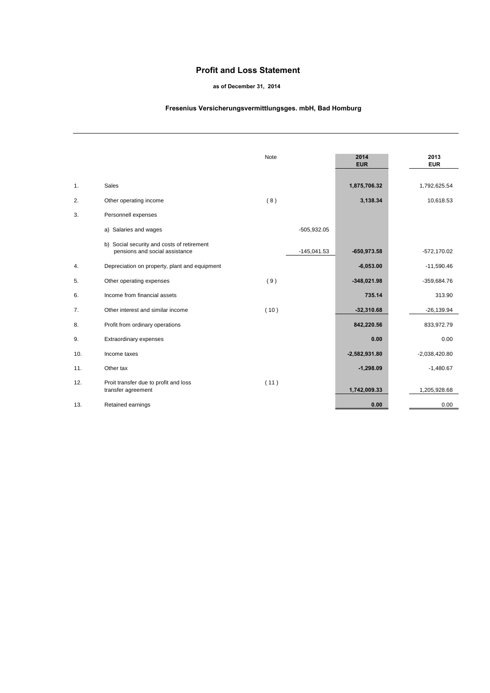## **Profit and Loss Statement**

#### **as of December 31, 2014**

### **Fresenius Versicherungsvermittlungsges. mbH, Bad Homburg**

|     |                                                                              | <b>Note</b> |               | 2014<br><b>EUR</b> | 2013<br><b>EUR</b> |
|-----|------------------------------------------------------------------------------|-------------|---------------|--------------------|--------------------|
| 1.  | <b>Sales</b>                                                                 |             |               | 1,875,706.32       | 1,792,625.54       |
| 2.  | Other operating income                                                       | (8)         |               | 3,138.34           | 10,618.53          |
| 3.  | Personnell expenses                                                          |             |               |                    |                    |
|     | a) Salaries and wages                                                        |             | $-505,932.05$ |                    |                    |
|     | b) Social security and costs of retirement<br>pensions and social assistance |             | $-145,041.53$ | $-650,973.58$      | $-572,170.02$      |
| 4.  | Depreciation on property, plant and equipment                                |             |               | $-6,053.00$        | $-11,590.46$       |
| 5.  | Other operating expenses                                                     | (9)         |               | $-348,021.98$      | -359,684.76        |
| 6.  | Income from financial assets                                                 |             |               | 735.14             | 313.90             |
| 7.  | Other interest and similar income                                            | (10)        |               | $-32,310.68$       | $-26,139.94$       |
| 8.  | Profit from ordinary operations                                              |             |               | 842,220.56         | 833,972.79         |
| 9.  | Extraordinary expenses                                                       |             |               | 0.00               | 0.00               |
| 10. | Income taxes                                                                 |             |               | $-2,582,931.80$    | $-2,038,420.80$    |
| 11. | Other tax                                                                    |             |               | $-1,298.09$        | $-1,480.67$        |
| 12. | Proit transfer due to profit and loss<br>transfer agreement                  | (11)        |               | 1,742,009.33       | 1,205,928.68       |
| 13. | Retained earnings                                                            |             |               | 0.00               | 0.00               |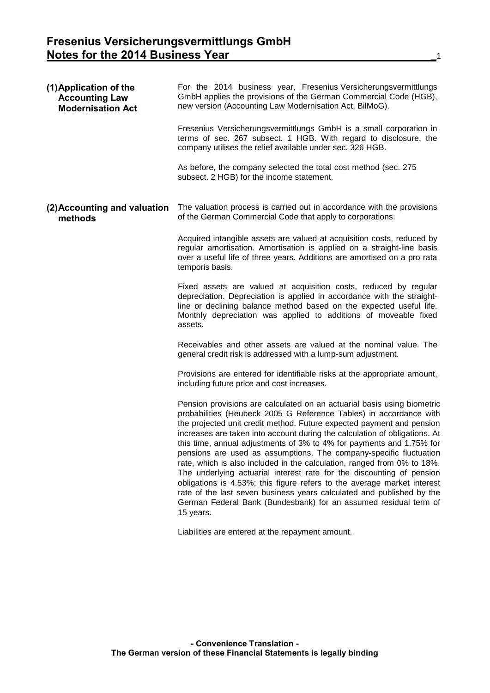| (1) Application of the<br><b>Accounting Law</b><br><b>Modernisation Act</b> | For the 2014 business year, Fresenius Versicherungsvermittlungs<br>GmbH applies the provisions of the German Commercial Code (HGB),<br>new version (Accounting Law Modernisation Act, BilMoG).                                                                                                                                                                                                                                                                                                                                                                                                                                                                                                                                                                                                                                              |
|-----------------------------------------------------------------------------|---------------------------------------------------------------------------------------------------------------------------------------------------------------------------------------------------------------------------------------------------------------------------------------------------------------------------------------------------------------------------------------------------------------------------------------------------------------------------------------------------------------------------------------------------------------------------------------------------------------------------------------------------------------------------------------------------------------------------------------------------------------------------------------------------------------------------------------------|
|                                                                             | Fresenius Versicherungsvermittlungs GmbH is a small corporation in<br>terms of sec. 267 subsect. 1 HGB. With regard to disclosure, the<br>company utilises the relief available under sec. 326 HGB.                                                                                                                                                                                                                                                                                                                                                                                                                                                                                                                                                                                                                                         |
|                                                                             | As before, the company selected the total cost method (sec. 275<br>subsect. 2 HGB) for the income statement.                                                                                                                                                                                                                                                                                                                                                                                                                                                                                                                                                                                                                                                                                                                                |
| (2) Accounting and valuation<br>methods                                     | The valuation process is carried out in accordance with the provisions<br>of the German Commercial Code that apply to corporations.                                                                                                                                                                                                                                                                                                                                                                                                                                                                                                                                                                                                                                                                                                         |
|                                                                             | Acquired intangible assets are valued at acquisition costs, reduced by<br>regular amortisation. Amortisation is applied on a straight-line basis<br>over a useful life of three years. Additions are amortised on a pro rata<br>temporis basis.                                                                                                                                                                                                                                                                                                                                                                                                                                                                                                                                                                                             |
|                                                                             | Fixed assets are valued at acquisition costs, reduced by regular<br>depreciation. Depreciation is applied in accordance with the straight-<br>line or declining balance method based on the expected useful life.<br>Monthly depreciation was applied to additions of moveable fixed<br>assets.                                                                                                                                                                                                                                                                                                                                                                                                                                                                                                                                             |
|                                                                             | Receivables and other assets are valued at the nominal value. The<br>general credit risk is addressed with a lump-sum adjustment.                                                                                                                                                                                                                                                                                                                                                                                                                                                                                                                                                                                                                                                                                                           |
|                                                                             | Provisions are entered for identifiable risks at the appropriate amount,<br>including future price and cost increases.                                                                                                                                                                                                                                                                                                                                                                                                                                                                                                                                                                                                                                                                                                                      |
|                                                                             | Pension provisions are calculated on an actuarial basis using biometric<br>probabilities (Heubeck 2005 G Reference Tables) in accordance with<br>the projected unit credit method. Future expected payment and pension<br>increases are taken into account during the calculation of obligations. At<br>this time, annual adjustments of 3% to 4% for payments and 1.75% for<br>pensions are used as assumptions. The company-specific fluctuation<br>rate, which is also included in the calculation, ranged from 0% to 18%.<br>The underlying actuarial interest rate for the discounting of pension<br>obligations is 4.53%; this figure refers to the average market interest<br>rate of the last seven business years calculated and published by the<br>German Federal Bank (Bundesbank) for an assumed residual term of<br>15 years. |
|                                                                             | Liabilities are entered at the repayment amount.                                                                                                                                                                                                                                                                                                                                                                                                                                                                                                                                                                                                                                                                                                                                                                                            |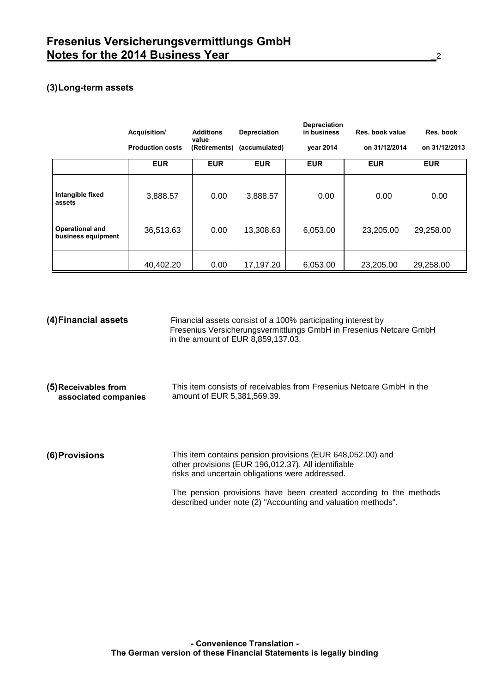# **(3)Long-term assets**

|                                       | Acquisition/            | <b>Additions</b><br>value | <b>Depreciation</b> | <b>Depreciation</b><br>in business | Res. book value | Res. book     |
|---------------------------------------|-------------------------|---------------------------|---------------------|------------------------------------|-----------------|---------------|
|                                       | <b>Production costs</b> | (Retirements)             | (accumulated)       | vear 2014                          | on 31/12/2014   | on 31/12/2013 |
|                                       | <b>EUR</b>              | <b>EUR</b>                | <b>EUR</b>          | <b>EUR</b>                         | <b>EUR</b>      | <b>EUR</b>    |
| Intangible fixed<br>assets            | 3,888.57                | 0.00                      | 3,888.57            | 0.00                               | 0.00            | 0.00          |
| Operational and<br>business equipment | 36,513.63               | 0.00                      | 13,308.63           | 6,053.00                           | 23,205.00       | 29,258.00     |
|                                       | 40,402.20               | 0.00                      | 17,197.20           | 6,053.00                           | 23,205.00       | 29,258.00     |

| (4) Financial assets                         | Financial assets consist of a 100% participating interest by<br>Fresenius Versicherungsvermittlungs GmbH in Fresenius Netcare GmbH<br>in the amount of EUR 8,859,137.03. |
|----------------------------------------------|--------------------------------------------------------------------------------------------------------------------------------------------------------------------------|
| (5) Receivables from<br>associated companies | This item consists of receivables from Fresenius Netcare GmbH in the<br>amount of EUR 5,381,569.39.                                                                      |
| (6) Provisions                               | This item contains pension provisions (EUR 648,052.00) and<br>other provisions (EUR 196,012.37). All identifiable<br>risks and uncertain obligations were addressed.     |
|                                              | The pension provisions have been created according to the methods<br>described under note (2) "Accounting and valuation methods".                                        |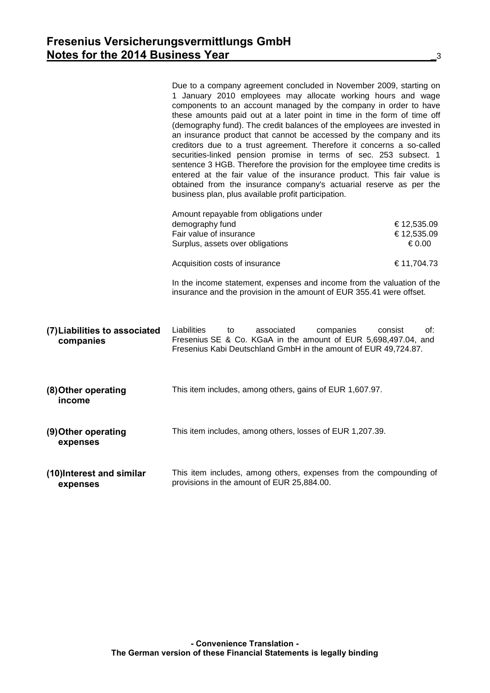|                                            | Due to a company agreement concluded in November 2009, starting on<br>1 January 2010 employees may allocate working hours and wage<br>components to an account managed by the company in order to have<br>these amounts paid out at a later point in time in the form of time off<br>(demography fund). The credit balances of the employees are invested in<br>an insurance product that cannot be accessed by the company and its<br>creditors due to a trust agreement. Therefore it concerns a so-called<br>securities-linked pension promise in terms of sec. 253 subsect. 1<br>sentence 3 HGB. Therefore the provision for the employee time credits is<br>entered at the fair value of the insurance product. This fair value is<br>obtained from the insurance company's actuarial reserve as per the<br>business plan, plus available profit participation. |                                    |
|--------------------------------------------|----------------------------------------------------------------------------------------------------------------------------------------------------------------------------------------------------------------------------------------------------------------------------------------------------------------------------------------------------------------------------------------------------------------------------------------------------------------------------------------------------------------------------------------------------------------------------------------------------------------------------------------------------------------------------------------------------------------------------------------------------------------------------------------------------------------------------------------------------------------------|------------------------------------|
|                                            | Amount repayable from obligations under<br>demography fund<br>Fair value of insurance<br>Surplus, assets over obligations                                                                                                                                                                                                                                                                                                                                                                                                                                                                                                                                                                                                                                                                                                                                            | €12,535.09<br>€12,535.09<br>€ 0.00 |
|                                            | Acquisition costs of insurance                                                                                                                                                                                                                                                                                                                                                                                                                                                                                                                                                                                                                                                                                                                                                                                                                                       | €11,704.73                         |
|                                            | In the income statement, expenses and income from the valuation of the<br>insurance and the provision in the amount of EUR 355.41 were offset.                                                                                                                                                                                                                                                                                                                                                                                                                                                                                                                                                                                                                                                                                                                       |                                    |
| (7) Liabilities to associated<br>companies | Liabilities<br>associated<br>companies<br>to<br>Fresenius SE & Co. KGaA in the amount of EUR 5,698,497.04, and<br>Fresenius Kabi Deutschland GmbH in the amount of EUR 49,724.87.                                                                                                                                                                                                                                                                                                                                                                                                                                                                                                                                                                                                                                                                                    | consist<br>of:                     |
| (8) Other operating<br>income              | This item includes, among others, gains of EUR 1,607.97.                                                                                                                                                                                                                                                                                                                                                                                                                                                                                                                                                                                                                                                                                                                                                                                                             |                                    |
| (9) Other operating<br>expenses            | This item includes, among others, losses of EUR 1,207.39.                                                                                                                                                                                                                                                                                                                                                                                                                                                                                                                                                                                                                                                                                                                                                                                                            |                                    |
| (10) Interest and similar<br>expenses      | This item includes, among others, expenses from the compounding of<br>provisions in the amount of EUR 25,884.00.                                                                                                                                                                                                                                                                                                                                                                                                                                                                                                                                                                                                                                                                                                                                                     |                                    |